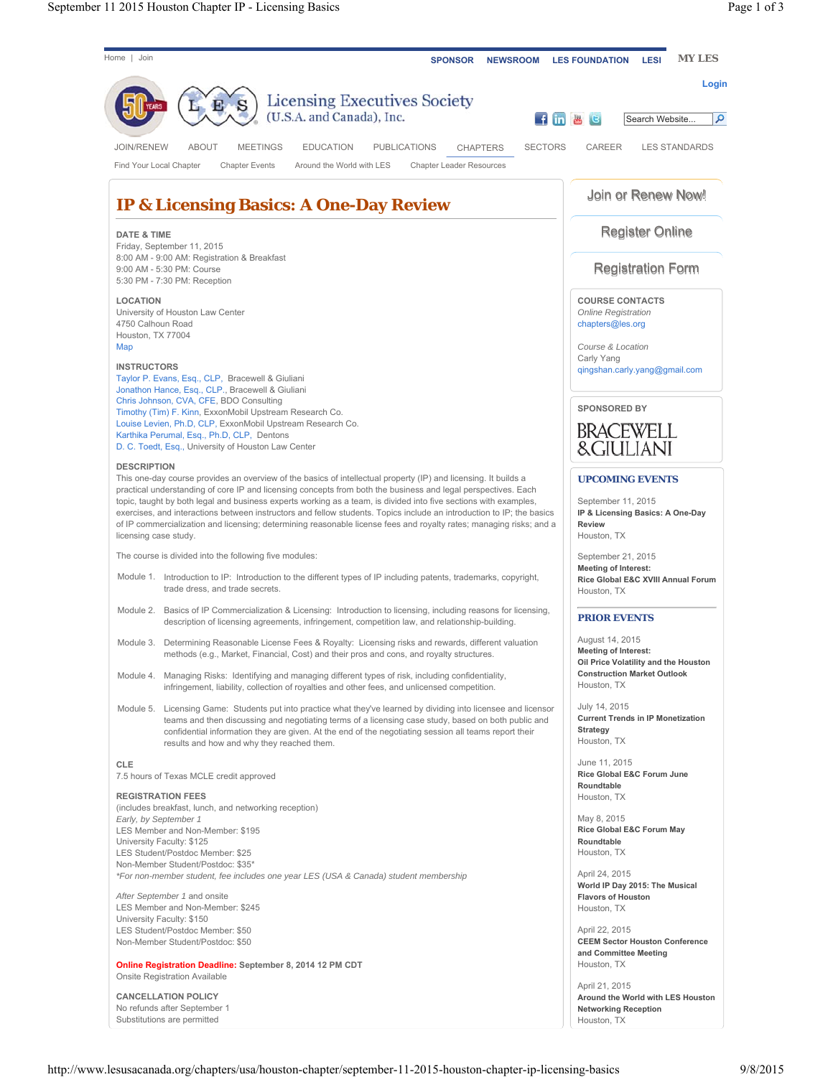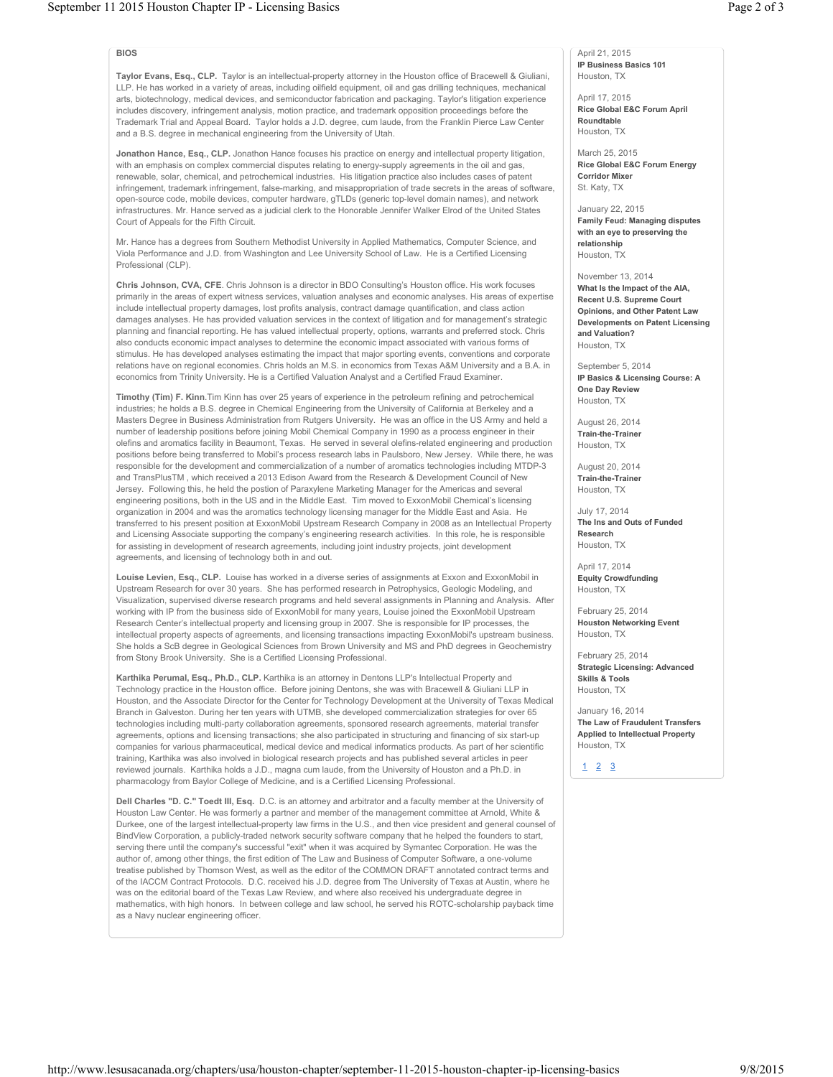## **BIOS**

**Taylor Evans, Esq., CLP.** Taylor is an intellectual-property attorney in the Houston office of Bracewell & Giuliani, LLP. He has worked in a variety of areas, including oilfield equipment, oil and gas drilling techniques, mechanical arts, biotechnology, medical devices, and semiconductor fabrication and packaging. Taylor's litigation experience includes discovery, infringement analysis, motion practice, and trademark opposition proceedings before the Trademark Trial and Appeal Board. Taylor holds a J.D. degree, cum laude, from the Franklin Pierce Law Center and a B.S. degree in mechanical engineering from the University of Utah.

**Jonathon Hance, Esq., CLP.** Jonathon Hance focuses his practice on energy and intellectual property litigation, with an emphasis on complex commercial disputes relating to energy-supply agreements in the oil and gas, renewable, solar, chemical, and petrochemical industries. His litigation practice also includes cases of patent infringement, trademark infringement, false-marking, and misappropriation of trade secrets in the areas of software, open-source code, mobile devices, computer hardware, gTLDs (generic top-level domain names), and network infrastructures. Mr. Hance served as a judicial clerk to the Honorable Jennifer Walker Elrod of the United States Court of Appeals for the Fifth Circuit.

Mr. Hance has a degrees from Southern Methodist University in Applied Mathematics, Computer Science, and Viola Performance and J.D. from Washington and Lee University School of Law. He is a Certified Licensing Professional (CLP).

**Chris Johnson, CVA, CFE**. Chris Johnson is a director in BDO Consulting's Houston office. His work focuses primarily in the areas of expert witness services, valuation analyses and economic analyses. His areas of expertise include intellectual property damages, lost profits analysis, contract damage quantification, and class action damages analyses. He has provided valuation services in the context of litigation and for management's strategic planning and financial reporting. He has valued intellectual property, options, warrants and preferred stock. Chris also conducts economic impact analyses to determine the economic impact associated with various forms of stimulus. He has developed analyses estimating the impact that major sporting events, conventions and corporate relations have on regional economies. Chris holds an M.S. in economics from Texas A&M University and a B.A. in economics from Trinity University. He is a Certified Valuation Analyst and a Certified Fraud Examiner.

**Timothy (Tim) F. Kinn**.Tim Kinn has over 25 years of experience in the petroleum refining and petrochemical industries; he holds a B.S. degree in Chemical Engineering from the University of California at Berkeley and a Masters Degree in Business Administration from Rutgers University. He was an office in the US Army and held a number of leadership positions before joining Mobil Chemical Company in 1990 as a process engineer in their olefins and aromatics facility in Beaumont, Texas. He served in several olefins-related engineering and production positions before being transferred to Mobil's process research labs in Paulsboro, New Jersey. While there, he was responsible for the development and commercialization of a number of aromatics technologies including MTDP-3 and TransPlusTM , which received a 2013 Edison Award from the Research & Development Council of New Jersey. Following this, he held the postion of Paraxylene Marketing Manager for the Americas and several engineering positions, both in the US and in the Middle East. Tim moved to ExxonMobil Chemical's licensing organization in 2004 and was the aromatics technology licensing manager for the Middle East and Asia. He transferred to his present position at ExxonMobil Upstream Research Company in 2008 as an Intellectual Property and Licensing Associate supporting the company's engineering research activities. In this role, he is responsible for assisting in development of research agreements, including joint industry projects, joint development agreements, and licensing of technology both in and out.

**Louise Levien, Esq., CLP.** Louise has worked in a diverse series of assignments at Exxon and ExxonMobil in Upstream Research for over 30 years. She has performed research in Petrophysics, Geologic Modeling, and Visualization, supervised diverse research programs and held several assignments in Planning and Analysis. After working with IP from the business side of ExxonMobil for many years, Louise joined the ExxonMobil Upstream Research Center's intellectual property and licensing group in 2007. She is responsible for IP processes, the intellectual property aspects of agreements, and licensing transactions impacting ExxonMobil's upstream business. She holds a ScB degree in Geological Sciences from Brown University and MS and PhD degrees in Geochemistry from Stony Brook University. She is a Certified Licensing Professional.

**Karthika Perumal, Esq., Ph.D., CLP.** Karthika is an attorney in Dentons LLP's Intellectual Property and Technology practice in the Houston office. Before joining Dentons, she was with Bracewell & Giuliani LLP in Houston, and the Associate Director for the Center for Technology Development at the University of Texas Medical Branch in Galveston. During her ten years with UTMB, she developed commercialization strategies for over 65 technologies including multi-party collaboration agreements, sponsored research agreements, material transfer agreements, options and licensing transactions; she also participated in structuring and financing of six start-up companies for various pharmaceutical, medical device and medical informatics products. As part of her scientific training, Karthika was also involved in biological research projects and has published several articles in peer reviewed journals. Karthika holds a J.D., magna cum laude, from the University of Houston and a Ph.D. in pharmacology from Baylor College of Medicine, and is a Certified Licensing Professional.

**Dell Charles "D. C." Toedt III, Esq.** D.C. is an attorney and arbitrator and a faculty member at the University of Houston Law Center. He was formerly a partner and member of the management committee at Arnold, White & Durkee, one of the largest intellectual-property law firms in the U.S., and then vice president and general counsel of BindView Corporation, a publicly-traded network security software company that he helped the founders to start, serving there until the company's successful "exit" when it was acquired by Symantec Corporation. He was the author of, among other things, the first edition of The Law and Business of Computer Software, a one-volume treatise published by Thomson West, as well as the editor of the COMMON DRAFT annotated contract terms and of the IACCM Contract Protocols. D.C. received his J.D. degree from The University of Texas at Austin, where he was on the editorial board of the Texas Law Review, and where also received his undergraduate degree in mathematics, with high honors. In between college and law school, he served his ROTC-scholarship payback time as a Navy nuclear engineering officer.

April 21, 2015 **IP Business Basics 101** Houston, TX

April 17, 2015 **Rice Global E&C Forum April Roundtable** Houston, TX

March 25, 2015 **Rice Global E&C Forum Energy Corridor Mixer** St. Katy, TX

January 22, 2015 **Family Feud: Managing disputes with an eye to preserving the relationship** Houston, TX

November 13, 2014 **What Is the Impact of the AIA, Recent U.S. Supreme Court Opinions, and Other Patent Law Developments on Patent Licensing and Valuation?**  Houston, TX

September 5, 2014 **IP Basics & Licensing Course: A One Day Review** Houston, TX

August 26, 2014 **Train-the-Trainer** Houston, TX

August 20, 2014 **Train-the-Trainer** Houston, TX

July 17, 2014 **The Ins and Outs of Funded Research** Houston, TX

April 17, 2014 **Equity Crowdfunding** Houston, TX

February 25, 2014 **Houston Networking Event** Houston, TX

February 25, 2014 **Strategic Licensing: Advanced Skills & Tools** Houston, TX

January 16, 2014 **The Law of Fraudulent Transfers Applied to Intellectual Property** Houston, TX

123